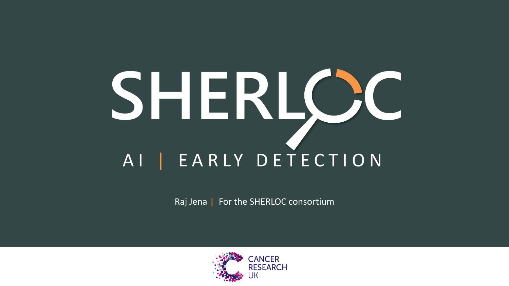## SHERLC<sub>2</sub>C A I | E A R L Y D E T E C T I O N

Raj Jena | For the SHERLOC consortium

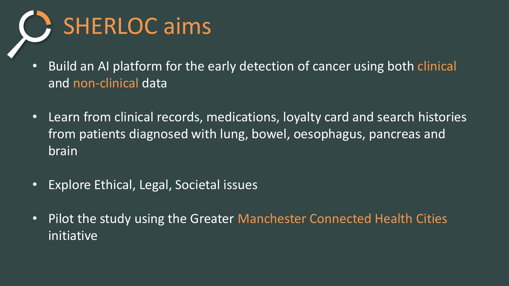

- Build an AI platform for the early detection of cancer using both clinical and non-clinical data
- Learn from clinical records, medications, loyalty card and search histories from patients diagnosed with lung, bowel, oesophagus, pancreas and brain
- Explore Ethical, Legal, Societal issues
- Pilot the study using the Greater Manchester Connected Health Cities initiative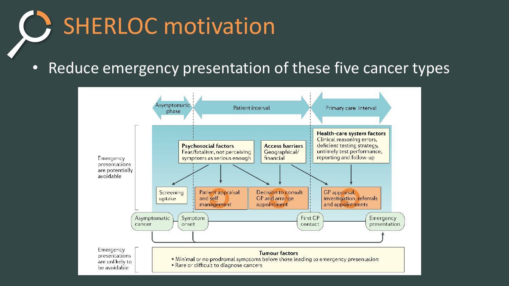## SHERLOC motivation

• Reduce emergency presentation of these five cancer types

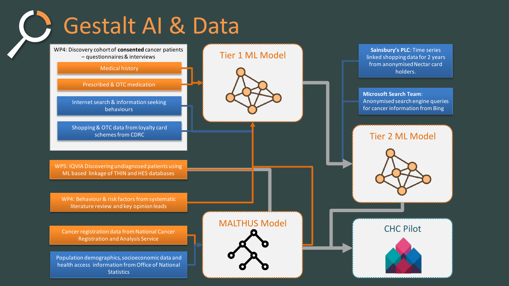Gestalt AI & Data

WP4: Discovery cohort of **consented** cancer patients – questionnaires & interviews

#### Medical history

Prescribed & OTC medication

Internet search & information seeking behaviours

Shopping & OTC data from loyalty card schemes from CDRC

WP5: IQVIA Discovering undiagnosed patients using ML based linkage of THIN and HES databases

WP4: Behaviour & risk factors from systematic literature review and key opinion leads

Cancer registration data from National Cancer Registration and Analysis Service

Population demographics, socioeconomic data and health access information from Office of National **Statistics** 

# MALTHUS Model

Tier 1 ML Model

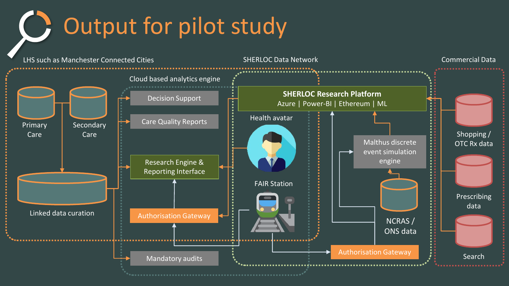**C** Output for pilot study

LHS such as Manchester Connected Cities Primary Care **Secondary** Care Linked data curation Cloud based analytics engine Decision Support Care Quality Reports Mandatory audits Research Engine & Reporting Interface Authorisation Gateway FAIR Station **SHERLOC Research Platform** Azure | Power-BI | Ethereum | ML Health avatar SHERLOC Data Network Shopping / OTC Rx data Prescribing data Authorisation Gateway **Part Contains a Search** Commercial Data Malthus discrete event simulation engine NCRAS / ONS data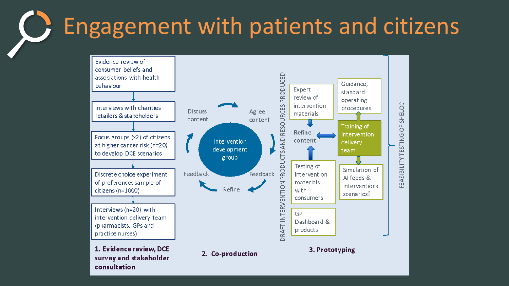#### Engagement with patients and citizensO

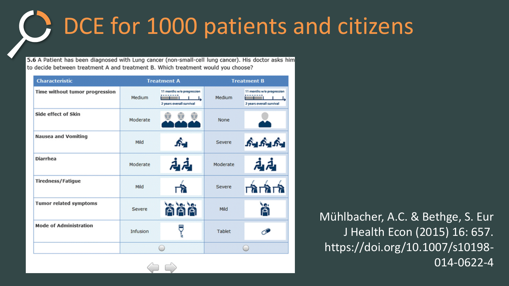### C: DCE for 1000 patients and citizens

5.6 A Patient has been diagnosed with Lung cancer (non-small-cell lung cancer). His doctor asks him to decide between treatment A and treatment B. Which treatment would you choose?

| <b>Characteristic</b>          | <b>Treatment A</b> |                                                               | <b>Treatment B</b> |                                                                 |
|--------------------------------|--------------------|---------------------------------------------------------------|--------------------|-----------------------------------------------------------------|
| Time without tumor progression | Medium             | 11 months w/o progression<br>mi I<br>2 years overall survival | Medium             | 11 months w/o progression<br>ana an<br>2 years overall survival |
| Side effect of Skin            | Moderate           |                                                               | <b>None</b>        |                                                                 |
| <b>Nausea and Vomiting</b>     | Mild               | ∱.                                                            | Severe             | یونگ ایستگار ایستگار                                            |
| <b>Diarrhea</b>                | Moderate           | ふん                                                            | Moderate           | 高山                                                              |
| <b>Tiredness/Fatigue</b>       | Mild               |                                                               | Severe             | <b>DATATA</b>                                                   |
| Tumor related symptoms         | <b>Severe</b>      | ver ver ver                                                   | Mild               | ń                                                               |
| <b>Mode of Administration</b>  | Infusion           |                                                               | <b>Tablet</b>      |                                                                 |
|                                |                    |                                                               | m                  |                                                                 |

Mühlbacher, A.C. & Bethge, S. Eur J Health Econ (2015) 16: 657. https://doi.org/10.1007/s10198- 014-0622-4